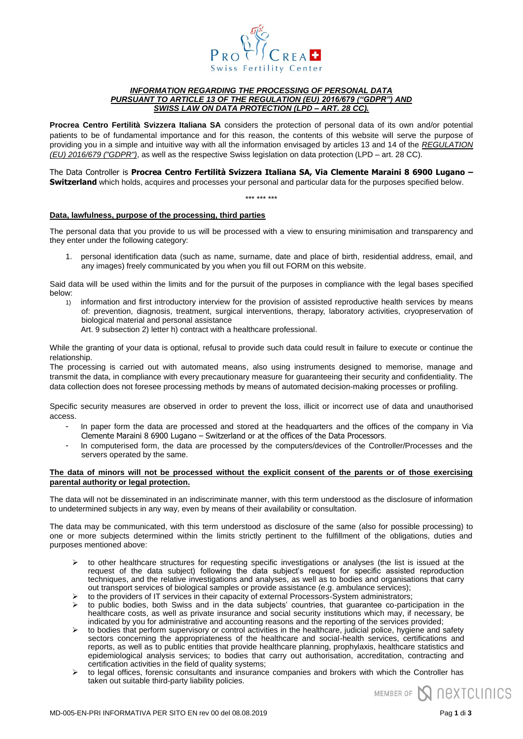

# *INFORMATION REGARDING THE PROCESSING OF PERSONAL DATA PURSUANT TO ARTICLE 13 OF THE REGULATION (EU) 2016/679 ("GDPR") AND SWISS LAW ON DATA PROTECTION (LPD – ART. 28 CC).*

**Procrea Centro Fertilità Svizzera Italiana SA** considers the protection of personal data of its own and/or potential patients to be of fundamental importance and for this reason, the contents of this website will serve the purpose of providing you in a simple and intuitive way with all the information envisaged by articles 13 and 14 of the *REGULATION (EU) 2016/679 ("GDPR")*, as well as the respective Swiss legislation on data protection (LPD – art. 28 CC).

The Data Controller is **Procrea Centro Fertilità Svizzera Italiana SA, Via Clemente Maraini 8 6900 Lugano – Switzerland** which holds, acquires and processes your personal and particular data for the purposes specified below.

### \*\*\* \*\*\* \*\*\*

# **Data, lawfulness, purpose of the processing, third parties**

The personal data that you provide to us will be processed with a view to ensuring minimisation and transparency and they enter under the following category:

1. personal identification data (such as name, surname, date and place of birth, residential address, email, and any images) freely communicated by you when you fill out FORM on this website.

Said data will be used within the limits and for the pursuit of the purposes in compliance with the legal bases specified below:

- 1) information and first introductory interview for the provision of assisted reproductive health services by means of: prevention, diagnosis, treatment, surgical interventions, therapy, laboratory activities, cryopreservation of biological material and personal assistance
	- Art. 9 subsection 2) letter h) contract with a healthcare professional.

While the granting of your data is optional, refusal to provide such data could result in failure to execute or continue the relationship.

The processing is carried out with automated means, also using instruments designed to memorise, manage and transmit the data, in compliance with every precautionary measure for guaranteeing their security and confidentiality. The data collection does not foresee processing methods by means of automated decision-making processes or profiling.

Specific security measures are observed in order to prevent the loss, illicit or incorrect use of data and unauthorised access.

- In paper form the data are processed and stored at the headquarters and the offices of the company in Via Clemente Maraini 8 6900 Lugano – Switzerland or at the offices of the Data Processors.
- In computerised form, the data are processed by the computers/devices of the Controller/Processes and the servers operated by the same.

## **The data of minors will not be processed without the explicit consent of the parents or of those exercising parental authority or legal protection.**

The data will not be disseminated in an indiscriminate manner, with this term understood as the disclosure of information to undetermined subjects in any way, even by means of their availability or consultation.

The data may be communicated, with this term understood as disclosure of the same (also for possible processing) to one or more subjects determined within the limits strictly pertinent to the fulfillment of the obligations, duties and purposes mentioned above:

- to other healthcare structures for requesting specific investigations or analyses (the list is issued at the request of the data subject) following the data subject's request for specific assisted reproduction techniques, and the relative investigations and analyses, as well as to bodies and organisations that carry out transport services of biological samples or provide assistance (e.g. ambulance services);
- $\triangleright$  to the providers of IT services in their capacity of external Processors-System administrators;
- $\triangleright$  to public bodies, both Swiss and in the data subjects' countries, that guarantee co-participation in the healthcare costs, as well as private insurance and social security institutions which may, if necessary, be indicated by you for administrative and accounting reasons and the reporting of the services provided;
- to bodies that perform supervisory or control activities in the healthcare, judicial police, hygiene and safety sectors concerning the appropriateness of the healthcare and social-health services, certifications and reports, as well as to public entities that provide healthcare planning, prophylaxis, healthcare statistics and epidemiological analysis services; to bodies that carry out authorisation, accreditation, contracting and certification activities in the field of quality systems;
- to legal offices, forensic consultants and insurance companies and brokers with which the Controller has taken out suitable third-party liability policies.

MEMBER OF **SAU RESTAURANCE**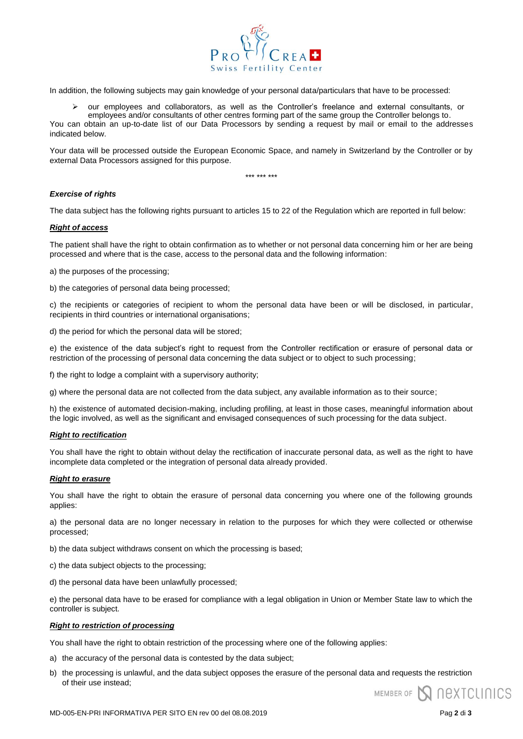

In addition, the following subjects may gain knowledge of your personal data/particulars that have to be processed:

 $\triangleright$  our employees and collaborators, as well as the Controller's freelance and external consultants, or

employees and/or consultants of other centres forming part of the same group the Controller belongs to. You can obtain an up-to-date list of our Data Processors by sending a request by mail or email to the addresses indicated below.

Your data will be processed outside the European Economic Space, and namely in Switzerland by the Controller or by external Data Processors assigned for this purpose.

\*\*\* \*\*\* \*\*\*

# *Exercise of rights*

The data subject has the following rights pursuant to articles 15 to 22 of the Regulation which are reported in full below:

# *Right of access*

The patient shall have the right to obtain confirmation as to whether or not personal data concerning him or her are being processed and where that is the case, access to the personal data and the following information:

a) the purposes of the processing;

b) the categories of personal data being processed;

c) the recipients or categories of recipient to whom the personal data have been or will be disclosed, in particular, recipients in third countries or international organisations;

d) the period for which the personal data will be stored;

e) the existence of the data subject's right to request from the Controller rectification or erasure of personal data or restriction of the processing of personal data concerning the data subject or to object to such processing;

f) the right to lodge a complaint with a supervisory authority;

g) where the personal data are not collected from the data subject, any available information as to their source;

h) the existence of automated decision-making, including profiling, at least in those cases, meaningful information about the logic involved, as well as the significant and envisaged consequences of such processing for the data subject.

## *Right to rectification*

You shall have the right to obtain without delay the rectification of inaccurate personal data, as well as the right to have incomplete data completed or the integration of personal data already provided.

# *Right to erasure*

You shall have the right to obtain the erasure of personal data concerning you where one of the following grounds applies:

a) the personal data are no longer necessary in relation to the purposes for which they were collected or otherwise processed;

b) the data subject withdraws consent on which the processing is based;

- c) the data subject objects to the processing;
- d) the personal data have been unlawfully processed;

e) the personal data have to be erased for compliance with a legal obligation in Union or Member State law to which the controller is subject.

## *Right to restriction of processing*

You shall have the right to obtain restriction of the processing where one of the following applies:

- a) the accuracy of the personal data is contested by the data subject;
- b) the processing is unlawful, and the data subject opposes the erasure of the personal data and requests the restriction of their use instead;

MEMBER OF **N NEXTCLINICS**